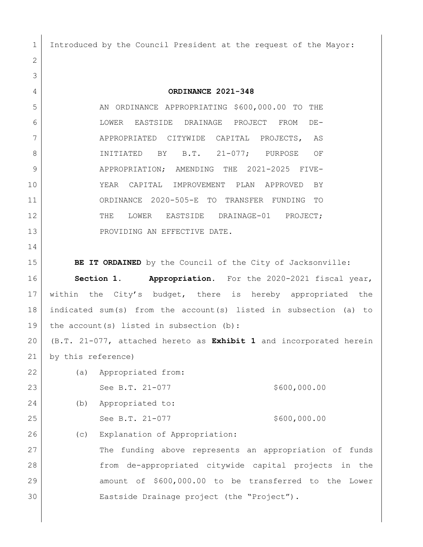Introduced by the Council President at the request of the Mayor:

 **ORDINANCE 2021-348** 5 AN ORDINANCE APPROPRIATING \$600,000.00 TO THE LOWER EASTSIDE DRAINAGE PROJECT FROM DE- APPROPRIATED CITYWIDE CAPITAL PROJECTS, AS 8 INITIATED BY B.T. 21-077; PURPOSE OF APPROPRIATION; AMENDING THE 2021-2025 FIVE- YEAR CAPITAL IMPROVEMENT PLAN APPROVED BY ORDINANCE 2020-505-E TO TRANSFER FUNDING TO 12 THE LOWER EASTSIDE DRAINAGE-01 PROJECT; 13 PROVIDING AN EFFECTIVE DATE. **BE IT ORDAINED** by the Council of the City of Jacksonville: **Section 1. Appropriation.** For the 2020-2021 fiscal year, within the City's budget, there is hereby appropriated the indicated sum(s) from the account(s) listed in subsection (a) to 19 | the account(s) listed in subsection (b): (B.T. 21-077, attached hereto as **Exhibit 1** and incorporated herein by this reference) (a) Appropriated from: 23 See B.T. 21-077 \$600,000.00 (b) Appropriated to: 25 See B.T. 21-077 \$600,000.00 26 (c) Explanation of Appropriation: 27 The funding above represents an appropriation of funds from de-appropriated citywide capital projects in the amount of \$600,000.00 to be transferred to the Lower Eastside Drainage project (the "Project").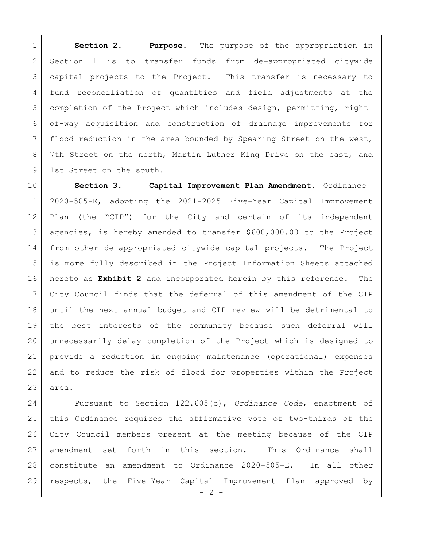**Section 2. Purpose.** The purpose of the appropriation in Section 1 is to transfer funds from de-appropriated citywide capital projects to the Project. This transfer is necessary to fund reconciliation of quantities and field adjustments at the completion of the Project which includes design, permitting, right- of-way acquisition and construction of drainage improvements for flood reduction in the area bounded by Spearing Street on the west, 8 7th Street on the north, Martin Luther King Drive on the east, and 9 1st Street on the south.

 **Section 3. Capital Improvement Plan Amendment.** Ordinance 2020-505-E, adopting the 2021-2025 Five-Year Capital Improvement Plan (the "CIP") for the City and certain of its independent agencies, is hereby amended to transfer \$600,000.00 to the Project from other de-appropriated citywide capital projects. The Project is more fully described in the Project Information Sheets attached hereto as **Exhibit 2** and incorporated herein by this reference. The City Council finds that the deferral of this amendment of the CIP until the next annual budget and CIP review will be detrimental to the best interests of the community because such deferral will unnecessarily delay completion of the Project which is designed to provide a reduction in ongoing maintenance (operational) expenses and to reduce the risk of flood for properties within the Project area.

 Pursuant to Section 122.605(c), *Ordinance Code*, enactment of this Ordinance requires the affirmative vote of two-thirds of the City Council members present at the meeting because of the CIP amendment set forth in this section. This Ordinance shall constitute an amendment to Ordinance 2020-505-E. In all other respects, the Five-Year Capital Improvement Plan approved by

 $- 2 -$